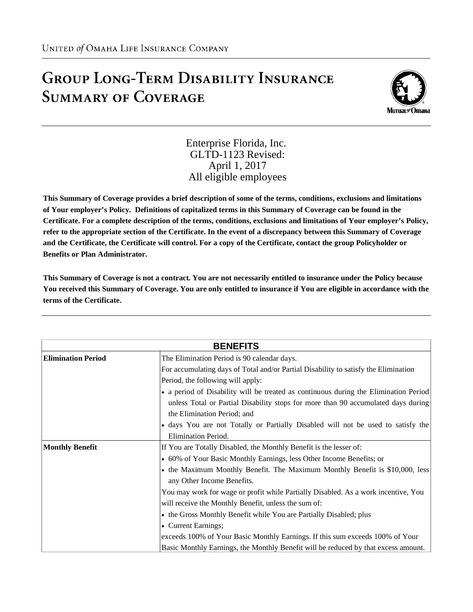## **GROUP LONG-TERM DISABILITY INSURANCE SUMMARY OF COVERAGE**



Enterprise Florida, Inc. GLTD-1123 Revised: April 1, 2017 All eligible employees

**This Summary of Coverage provides a brief description of some of the terms, conditions, exclusions and limitations of Your employer's Policy. Definitions of capitalized terms in this Summary of Coverage can be found in the Certificate. For a complete description of the terms, conditions, exclusions and limitations of Your employer's Policy, refer to the appropriate section of the Certificate. In the event of a discrepancy between this Summary of Coverage and the Certificate, the Certificate will control. For a copy of the Certificate, contact the group Policyholder or Benefits or Plan Administrator.**

**This Summary of Coverage is not a contract. You are not necessarily entitled to insurance under the Policy because You received this Summary of Coverage. You are only entitled to insurance if You are eligible in accordance with the terms of the Certificate.**

| <b>BENEFITS</b>           |                                                                                      |  |
|---------------------------|--------------------------------------------------------------------------------------|--|
| <b>Elimination Period</b> | The Elimination Period is 90 calendar days.                                          |  |
|                           | For accumulating days of Total and/or Partial Disability to satisfy the Elimination  |  |
|                           | Period, the following will apply:                                                    |  |
|                           | • a period of Disability will be treated as continuous during the Elimination Period |  |
|                           | unless Total or Partial Disability stops for more than 90 accumulated days during    |  |
|                           | the Elimination Period; and                                                          |  |
|                           | • days You are not Totally or Partially Disabled will not be used to satisfy the     |  |
|                           | <b>Elimination Period.</b>                                                           |  |
| <b>Monthly Benefit</b>    | If You are Totally Disabled, the Monthly Benefit is the lesser of:                   |  |
|                           | • 60% of Your Basic Monthly Earnings, less Other Income Benefits; or                 |  |
|                           | • the Maximum Monthly Benefit. The Maximum Monthly Benefit is \$10,000, less         |  |
|                           | any Other Income Benefits.                                                           |  |
|                           | You may work for wage or profit while Partially Disabled. As a work incentive, You   |  |
|                           | will receive the Monthly Benefit, unless the sum of:                                 |  |
|                           | • the Gross Monthly Benefit while You are Partially Disabled; plus                   |  |
|                           | • Current Earnings;                                                                  |  |
|                           | exceeds 100% of Your Basic Monthly Earnings. If this sum exceeds 100% of Your        |  |
|                           | Basic Monthly Earnings, the Monthly Benefit will be reduced by that excess amount.   |  |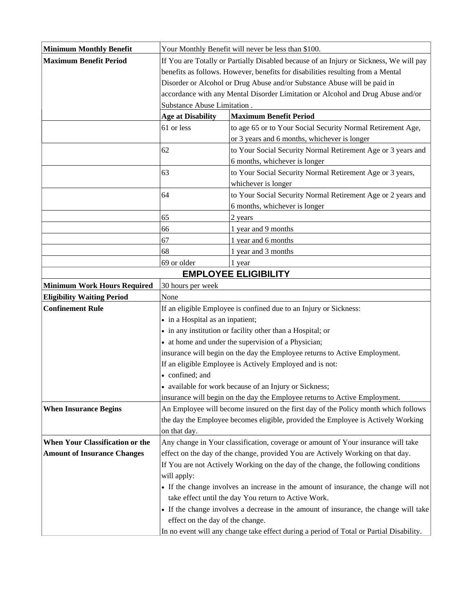| <b>Minimum Monthly Benefit</b>     |                                                                                        | Your Monthly Benefit will never be less than \$100.                                           |  |
|------------------------------------|----------------------------------------------------------------------------------------|-----------------------------------------------------------------------------------------------|--|
| <b>Maximum Benefit Period</b>      | If You are Totally or Partially Disabled because of an Injury or Sickness, We will pay |                                                                                               |  |
|                                    | benefits as follows. However, benefits for disabilities resulting from a Mental        |                                                                                               |  |
|                                    | Disorder or Alcohol or Drug Abuse and/or Substance Abuse will be paid in               |                                                                                               |  |
|                                    | accordance with any Mental Disorder Limitation or Alcohol and Drug Abuse and/or        |                                                                                               |  |
|                                    | Substance Abuse Limitation.                                                            |                                                                                               |  |
|                                    | <b>Age at Disability</b>                                                               | <b>Maximum Benefit Period</b>                                                                 |  |
|                                    | 61 or less                                                                             | to age 65 or to Your Social Security Normal Retirement Age,                                   |  |
|                                    |                                                                                        | or 3 years and 6 months, whichever is longer                                                  |  |
|                                    | 62                                                                                     | to Your Social Security Normal Retirement Age or 3 years and<br>6 months, whichever is longer |  |
|                                    | 63                                                                                     | to Your Social Security Normal Retirement Age or 3 years,                                     |  |
|                                    |                                                                                        | whichever is longer                                                                           |  |
|                                    | 64                                                                                     | to Your Social Security Normal Retirement Age or 2 years and                                  |  |
|                                    |                                                                                        | 6 months, whichever is longer                                                                 |  |
|                                    | 65                                                                                     | 2 years                                                                                       |  |
|                                    | 66                                                                                     | 1 year and 9 months                                                                           |  |
|                                    | 67                                                                                     | 1 year and 6 months                                                                           |  |
|                                    | 68                                                                                     | 1 year and 3 months                                                                           |  |
|                                    | 69 or older                                                                            | 1 year                                                                                        |  |
|                                    |                                                                                        | <b>EMPLOYEE ELIGIBILITY</b>                                                                   |  |
| <b>Minimum Work Hours Required</b> | 30 hours per week                                                                      |                                                                                               |  |
| <b>Eligibility Waiting Period</b>  | None                                                                                   |                                                                                               |  |
| <b>Confinement Rule</b>            | If an eligible Employee is confined due to an Injury or Sickness:                      |                                                                                               |  |
|                                    | • in a Hospital as an inpatient;                                                       |                                                                                               |  |
|                                    |                                                                                        | • in any institution or facility other than a Hospital; or                                    |  |
|                                    |                                                                                        | • at home and under the supervision of a Physician;                                           |  |
|                                    |                                                                                        | insurance will begin on the day the Employee returns to Active Employment.                    |  |
|                                    |                                                                                        | If an eligible Employee is Actively Employed and is not:                                      |  |
|                                    | • confined; and                                                                        |                                                                                               |  |
|                                    |                                                                                        | • available for work because of an Injury or Sickness;                                        |  |
|                                    |                                                                                        | insurance will begin on the day the Employee returns to Active Employment.                    |  |
| <b>When Insurance Begins</b>       | An Employee will become insured on the first day of the Policy month which follows     |                                                                                               |  |
|                                    |                                                                                        | the day the Employee becomes eligible, provided the Employee is Actively Working              |  |
|                                    | on that day.                                                                           |                                                                                               |  |
| When Your Classification or the    |                                                                                        | Any change in Your classification, coverage or amount of Your insurance will take             |  |
| <b>Amount of Insurance Changes</b> |                                                                                        | effect on the day of the change, provided You are Actively Working on that day.               |  |
|                                    |                                                                                        | If You are not Actively Working on the day of the change, the following conditions            |  |
|                                    | will apply:                                                                            |                                                                                               |  |
|                                    |                                                                                        | • If the change involves an increase in the amount of insurance, the change will not          |  |
|                                    |                                                                                        | take effect until the day You return to Active Work.                                          |  |
|                                    | effect on the day of the change.                                                       | • If the change involves a decrease in the amount of insurance, the change will take          |  |
|                                    |                                                                                        |                                                                                               |  |
|                                    |                                                                                        | In no event will any change take effect during a period of Total or Partial Disability.       |  |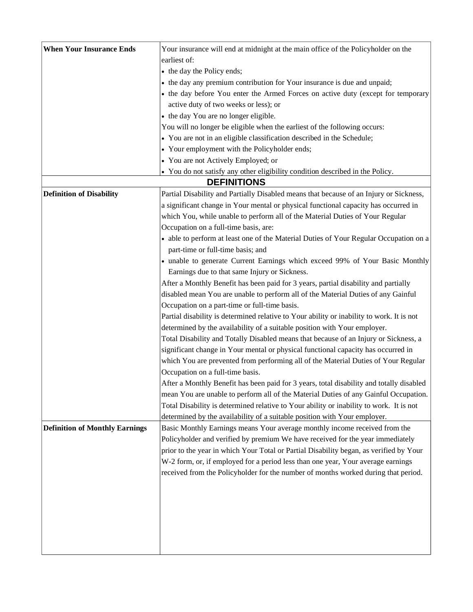| <b>When Your Insurance Ends</b>       | Your insurance will end at midnight at the main office of the Policyholder on the         |
|---------------------------------------|-------------------------------------------------------------------------------------------|
|                                       | earliest of:                                                                              |
|                                       | • the day the Policy ends;                                                                |
|                                       | • the day any premium contribution for Your insurance is due and unpaid;                  |
|                                       | • the day before You enter the Armed Forces on active duty (except for temporary          |
|                                       | active duty of two weeks or less); or                                                     |
|                                       | • the day You are no longer eligible.                                                     |
|                                       | You will no longer be eligible when the earliest of the following occurs:                 |
|                                       | • You are not in an eligible classification described in the Schedule;                    |
|                                       | • Your employment with the Policyholder ends;                                             |
|                                       | • You are not Actively Employed; or                                                       |
|                                       | • You do not satisfy any other eligibility condition described in the Policy.             |
|                                       | <b>DEFINITIONS</b>                                                                        |
| <b>Definition of Disability</b>       | Partial Disability and Partially Disabled means that because of an Injury or Sickness,    |
|                                       | a significant change in Your mental or physical functional capacity has occurred in       |
|                                       | which You, while unable to perform all of the Material Duties of Your Regular             |
|                                       | Occupation on a full-time basis, are:                                                     |
|                                       | • able to perform at least one of the Material Duties of Your Regular Occupation on a     |
|                                       | part-time or full-time basis; and                                                         |
|                                       | • unable to generate Current Earnings which exceed 99% of Your Basic Monthly              |
|                                       | Earnings due to that same Injury or Sickness.                                             |
|                                       | After a Monthly Benefit has been paid for 3 years, partial disability and partially       |
|                                       | disabled mean You are unable to perform all of the Material Duties of any Gainful         |
|                                       | Occupation on a part-time or full-time basis.                                             |
|                                       | Partial disability is determined relative to Your ability or inability to work. It is not |
|                                       | determined by the availability of a suitable position with Your employer.                 |
|                                       | Total Disability and Totally Disabled means that because of an Injury or Sickness, a      |
|                                       | significant change in Your mental or physical functional capacity has occurred in         |
|                                       | which You are prevented from performing all of the Material Duties of Your Regular        |
|                                       | Occupation on a full-time basis.                                                          |
|                                       | After a Monthly Benefit has been paid for 3 years, total disability and totally disabled  |
|                                       | mean You are unable to perform all of the Material Duties of any Gainful Occupation.      |
|                                       | Total Disability is determined relative to Your ability or inability to work. It is not   |
|                                       | determined by the availability of a suitable position with Your employer.                 |
| <b>Definition of Monthly Earnings</b> | Basic Monthly Earnings means Your average monthly income received from the                |
|                                       | Policyholder and verified by premium We have received for the year immediately            |
|                                       | prior to the year in which Your Total or Partial Disability began, as verified by Your    |
|                                       | W-2 form, or, if employed for a period less than one year, Your average earnings          |
|                                       | received from the Policyholder for the number of months worked during that period.        |
|                                       |                                                                                           |
|                                       |                                                                                           |
|                                       |                                                                                           |
|                                       |                                                                                           |
|                                       |                                                                                           |
|                                       |                                                                                           |
|                                       |                                                                                           |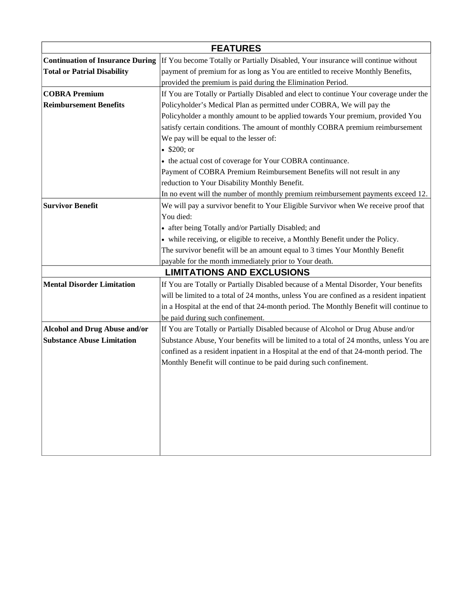| <b>FEATURES</b>                         |                                                                                          |  |  |  |
|-----------------------------------------|------------------------------------------------------------------------------------------|--|--|--|
| <b>Continuation of Insurance During</b> | If You become Totally or Partially Disabled, Your insurance will continue without        |  |  |  |
| <b>Total or Patrial Disability</b>      | payment of premium for as long as You are entitled to receive Monthly Benefits,          |  |  |  |
|                                         | provided the premium is paid during the Elimination Period.                              |  |  |  |
| <b>COBRA Premium</b>                    | If You are Totally or Partially Disabled and elect to continue Your coverage under the   |  |  |  |
| <b>Reimbursement Benefits</b>           | Policyholder's Medical Plan as permitted under COBRA, We will pay the                    |  |  |  |
|                                         | Policyholder a monthly amount to be applied towards Your premium, provided You           |  |  |  |
|                                         | satisfy certain conditions. The amount of monthly COBRA premium reimbursement            |  |  |  |
|                                         | We pay will be equal to the lesser of:                                                   |  |  |  |
|                                         | • $$200; or$                                                                             |  |  |  |
|                                         | • the actual cost of coverage for Your COBRA continuance.                                |  |  |  |
|                                         | Payment of COBRA Premium Reimbursement Benefits will not result in any                   |  |  |  |
|                                         | reduction to Your Disability Monthly Benefit.                                            |  |  |  |
|                                         | In no event will the number of monthly premium reimbursement payments exceed 12.         |  |  |  |
| <b>Survivor Benefit</b>                 | We will pay a survivor benefit to Your Eligible Survivor when We receive proof that      |  |  |  |
|                                         | You died:                                                                                |  |  |  |
|                                         | • after being Totally and/or Partially Disabled; and                                     |  |  |  |
|                                         | • while receiving, or eligible to receive, a Monthly Benefit under the Policy.           |  |  |  |
|                                         | The survivor benefit will be an amount equal to 3 times Your Monthly Benefit             |  |  |  |
|                                         | payable for the month immediately prior to Your death.                                   |  |  |  |
|                                         | <b>LIMITATIONS AND EXCLUSIONS</b>                                                        |  |  |  |
| <b>Mental Disorder Limitation</b>       | If You are Totally or Partially Disabled because of a Mental Disorder, Your benefits     |  |  |  |
|                                         | will be limited to a total of 24 months, unless You are confined as a resident inpatient |  |  |  |
|                                         | in a Hospital at the end of that 24-month period. The Monthly Benefit will continue to   |  |  |  |
|                                         | be paid during such confinement.                                                         |  |  |  |
| <b>Alcohol and Drug Abuse and/or</b>    | If You are Totally or Partially Disabled because of Alcohol or Drug Abuse and/or         |  |  |  |
| <b>Substance Abuse Limitation</b>       | Substance Abuse, Your benefits will be limited to a total of 24 months, unless You are   |  |  |  |
|                                         | confined as a resident inpatient in a Hospital at the end of that 24-month period. The   |  |  |  |
|                                         | Monthly Benefit will continue to be paid during such confinement.                        |  |  |  |
|                                         |                                                                                          |  |  |  |
|                                         |                                                                                          |  |  |  |
|                                         |                                                                                          |  |  |  |
|                                         |                                                                                          |  |  |  |
|                                         |                                                                                          |  |  |  |
|                                         |                                                                                          |  |  |  |
|                                         |                                                                                          |  |  |  |
|                                         |                                                                                          |  |  |  |